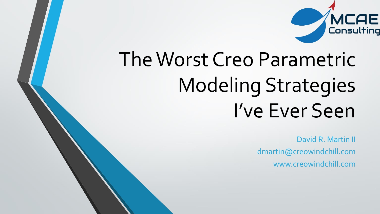

## The Worst Creo Parametric Modeling Strategies I've Ever Seen

David R. Martin II dmartin@creowindchill.com www.creowindchill.com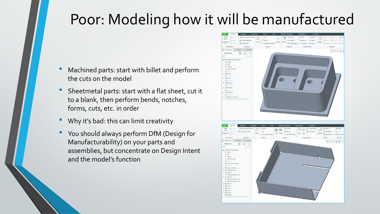## Poor: Modeling how it will be manufactured

- Machined parts: start with billet and perform the cuts on the model
- Sheetmetal parts: start with a flat sheet, cut it to a blank, then perform bends, notches, forms, cuts, etc. in order
- Why it's bad: this can limit creativity
- You should always perform DfM (Design for Manufacturability) on your parts and assemblies, but concentrate on Design Intent and the model's function

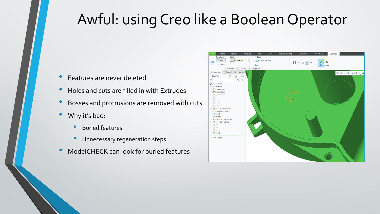## Awful: using Creo like a Boolean Operator

- Features are never deleted
- Holes and cuts are filled in with Extrudes
- Bosses and protrusions are removed with cuts
- Why it's bad:
	- Buried features
	- Unnecessary regeneration steps
- ModelCHECK can look for buried features